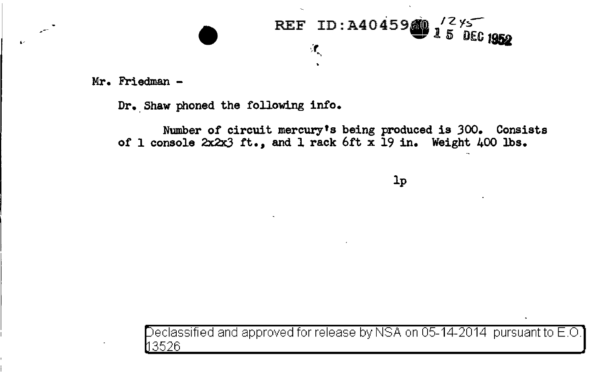

**Mr. Friedman** -

 $\epsilon$ 

**Dr. Shaw phoned the following info.** 

**Number of circuit mercury's being produced is** JOO. **Consists of 1 console 2x2x3 .rt., and l rack 6ft x 19 in. Weight 400 lbs.** 

**lp** 

eclassified and approved for release by NSA on 05-14-2014 pursuant to E.O. 3526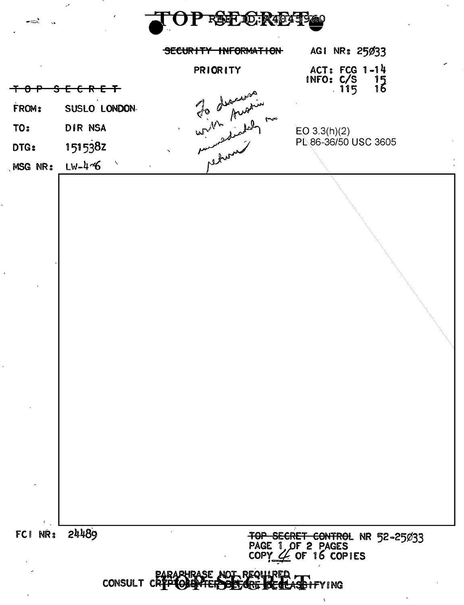

. — .

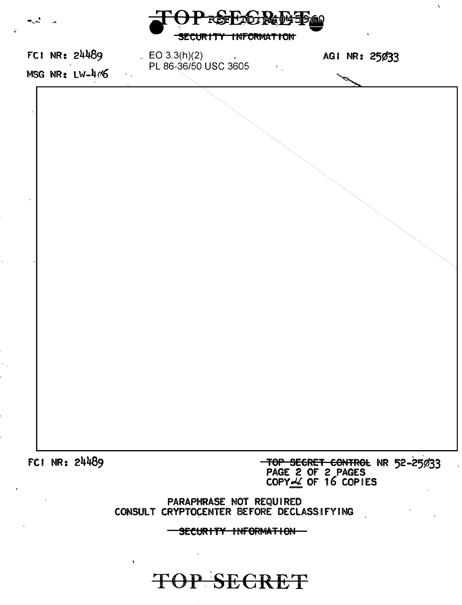| المريدان                                                             |  |                |  | SECURITY INFORMATION                     |  | PREFLICTR4045P60                                                                             |               |  |  |
|----------------------------------------------------------------------|--|----------------|--|------------------------------------------|--|----------------------------------------------------------------------------------------------|---------------|--|--|
|                                                                      |  | FCI NR: 24489  |  | $EQ_{3.3(h)(2)}$<br>PL 86-36/50 USC 3605 |  | $\mathcal{E}_{\mathcal{A}}$                                                                  | AGI NR: 25033 |  |  |
|                                                                      |  | MSG NR: LW-406 |  |                                          |  |                                                                                              |               |  |  |
|                                                                      |  |                |  |                                          |  |                                                                                              |               |  |  |
|                                                                      |  |                |  |                                          |  |                                                                                              |               |  |  |
|                                                                      |  |                |  |                                          |  |                                                                                              |               |  |  |
|                                                                      |  | FC1 NR: 24489  |  |                                          |  | <del>TOP SECRET CONTROL</del> NR 52-25033<br>PAGE 2 OF 2 PAGES<br>COPY <u>L</u> OF 16 COPIES |               |  |  |
| PARAPHRASE NOT REQUIRED<br>CONSULT CRYPTOCENTER BEFORE DECLASSIFYING |  |                |  |                                          |  |                                                                                              |               |  |  |
|                                                                      |  |                |  | SECURITY INFORMATION                     |  |                                                                                              |               |  |  |

 $\vec{v}$ 

 $\chi$ 

TOP SECRET

 $\hat{\mathbf{v}}$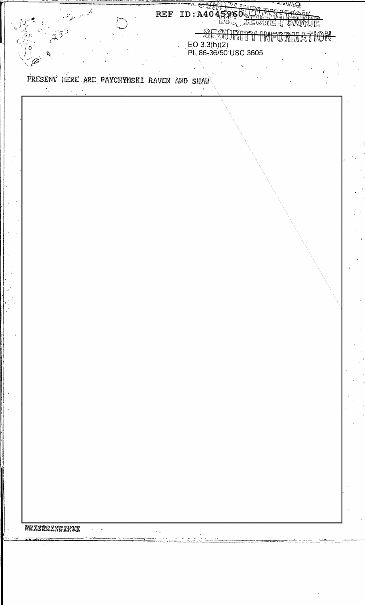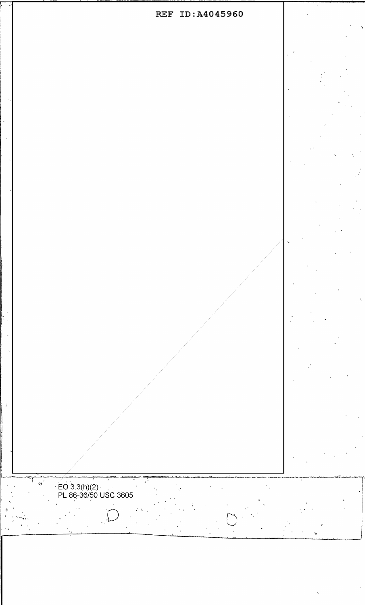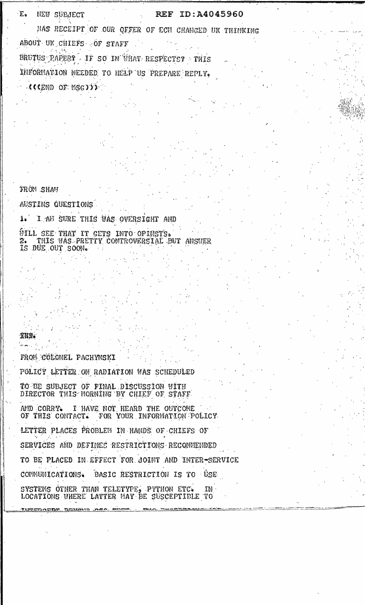$E_{\alpha}$ **NEW SUBJECT** 

## REF ID:A4045960

HAS RECEIPT OF OUR OFFER OF ECH CHANGED UK THINKING ABOUT UK CHIEFS OF STAFF

BRUTUS RAPERT IF SO IN WHAT RESPECTS? THIS INFORMATION NEEDED TO HELP US PREPARE REPLY. **AGEND OF MSGYIP** 

**FRÓM SHAW** 

AUSTINS QUESTIONS

1. I AM SURE THIS WAS OVERSIGHT AND ÚILL SEE THAT IT GETS INTO OPINSTS. 2. THIS WAS PRETTY CONTROVERSIAL BUT ANSWER IS DUE OUT SOON.

XKN.

FROM COLONEL PACHYNSKI POLICY LETTER ON RADIATION WAS SCHEDULED TO BE SUBJECT OF FINAL DISCUSSION WITH DIRECTOR THIS MORNING BY CHIEF OF STAFF. AND CORRY. I HAVE NOT HEARD THE OUTCOME OF THIS CONTACT. FOR YOUR INFORMATION POLICY LETTER PLACES PROBLEM IN HANDS OF CHIEFS OF SERVICES AND DEFINES RESTRICTIONS RECOMMENDED TO BE PLACED IN EFFECT FOR JOINT AND INTER-SERVICE COMMUNICATIONS. BASIC RESTRICTION IS TO USE SYSTEMS OTHER THAN TELETYPE, PYTHON ETC.  $ID$ LOCATIONS WHERE LATTER MAY BE SUSCEPTIBLE TO

DACTM DEBENIO DA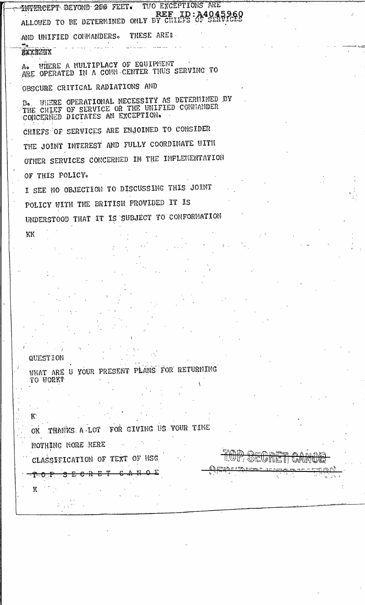TUO EXCEPTIONS ARE **INTERCEPT BEYOND 200 FEET.** REF ID: A4045960 REF ID: A4045960 THESE ARES. AND UNIFIED COMMANDERS. ⇒๋๛ **AXXANIX** A. WHERE A MULTIPLACY OF EQUIPMENT<br>ARE OPERATED IN A COMM CENTER THUS SERVING TO OBSCURE CRITICAL RADIATIONS AND B. WHERE OPERATIONAL NECESSITY AS DETERMINED BY<br>THE CHIEF OF SERVICE OR THE UNIFIED COMMANDER<br>CONCERNED DICTATES AN EXCEPTION. CHIEFS OF SERVICES ARE ENJOINED TO CONSIDER THE JOINT INTEREST AND FULLY COORDINATE VITH OTHER SERVICES CONCERNED IN THE IMPLEMENTATION OF THIS POLICY. I SEE NO OBJECTION TO DISCUSSING THIS JOINT POLICY WITH THE BRITISH PROVIDED IT IS UNDERSTOOD THAT IT IS SUBJECT TO CONFORMATION KK

QUESTION

 $-\mathbf{O}-\mathbf{P}$ Ŧ.

K

WHAT ARE U YOUR PRESENT PLANS FOR RETURNING TO WORK?

K. OK THANKS A LOT FOR GIVING US YOUR TIME NOTHING MORE HERE CLASSIFICATION OF TEXT OF MSG

<u>tin th</u> <u>IML OFANE II</u> Մա∦

<del>3 E C R</del>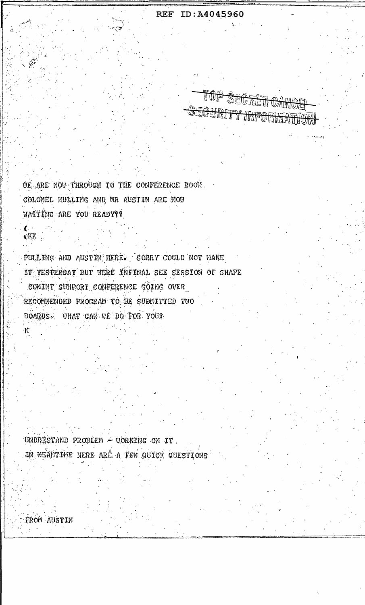REF ID:A40459.60

EUT

<u> স্কুটিজেলি</u>

GURITY INFORM

UE ARE NOW THROUGH TO THE CONFERENCE ROOM. COLONEL HULLING AND MR AUSTIN ARE NOW WAITING ARE YOU READY??

PULLING AND AUSTIN HERE. SORRY COULD NOT MAKE IT YESTERDAY BUT WERE INFINAL SEE SESSION OF SHAPE COMINT SUHPORT CONFERENCE GOING OVER RECOMMENDED PROGRAM TO BE SUBMITTED TWO BOARDS. WHAT CAN WE DO FOR YOU?

UNDRESTAND PROBLEM - WORKING ON IT. IN MEANTIME HERE ARE A FEW QUICK QUESTIONS

*TROM AUSTIN* 

 $\ell$  . KK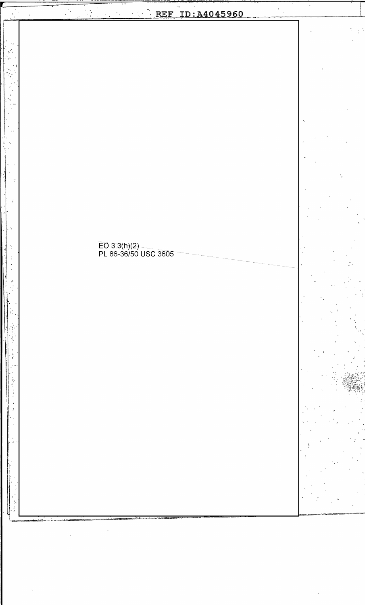$\frac{1}{2}$  $\mathbf{r}$  $\begin{bmatrix} 1 & 1 \\ 1 & 1 \\ 1 & 0 \end{bmatrix}$  $\label{eq:1} \frac{1}{\sqrt{2}}\sum_{i=1}^{n} \frac{a_i}{\sqrt{2}}$ REF ID: A4045960  $\mathcal{A}_\infty$  ,  $\mathcal{A}_\infty$ EO 3.3(h)(2)<br>PL 86-36/50 USC 3605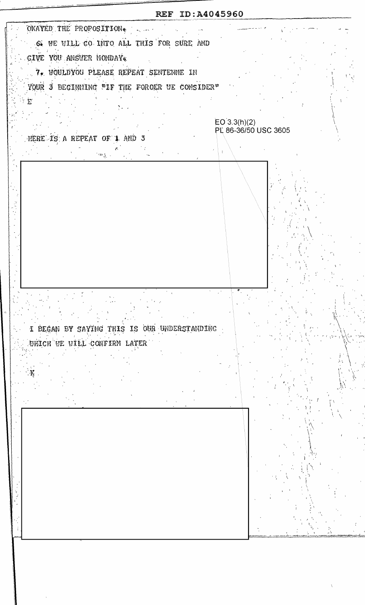REF ID:A4045960 OKAYED THE PROPOSITION. S. WE WILL GO INTO ALL THIS FOR SURE AND GIVE YOU ANSUER MONDAY 7. WOULDYOU PLEASE REPEAT SENTENNE IN YOUR 3 BEGINNING TIF THE FOROER UE CONSIDER"  $E^{\prime}$  $EO(3.3(h)(2)$ PL 86-36/50 USC 3605 HERE IS A REPEAT OF 1 AND 3  $\sim_{\Lambda_{\rm c}}$ I BEGAN BY SAYING THIS IS OUR UNDERSTANDING UHICH UE UILL CONFIRM LATER